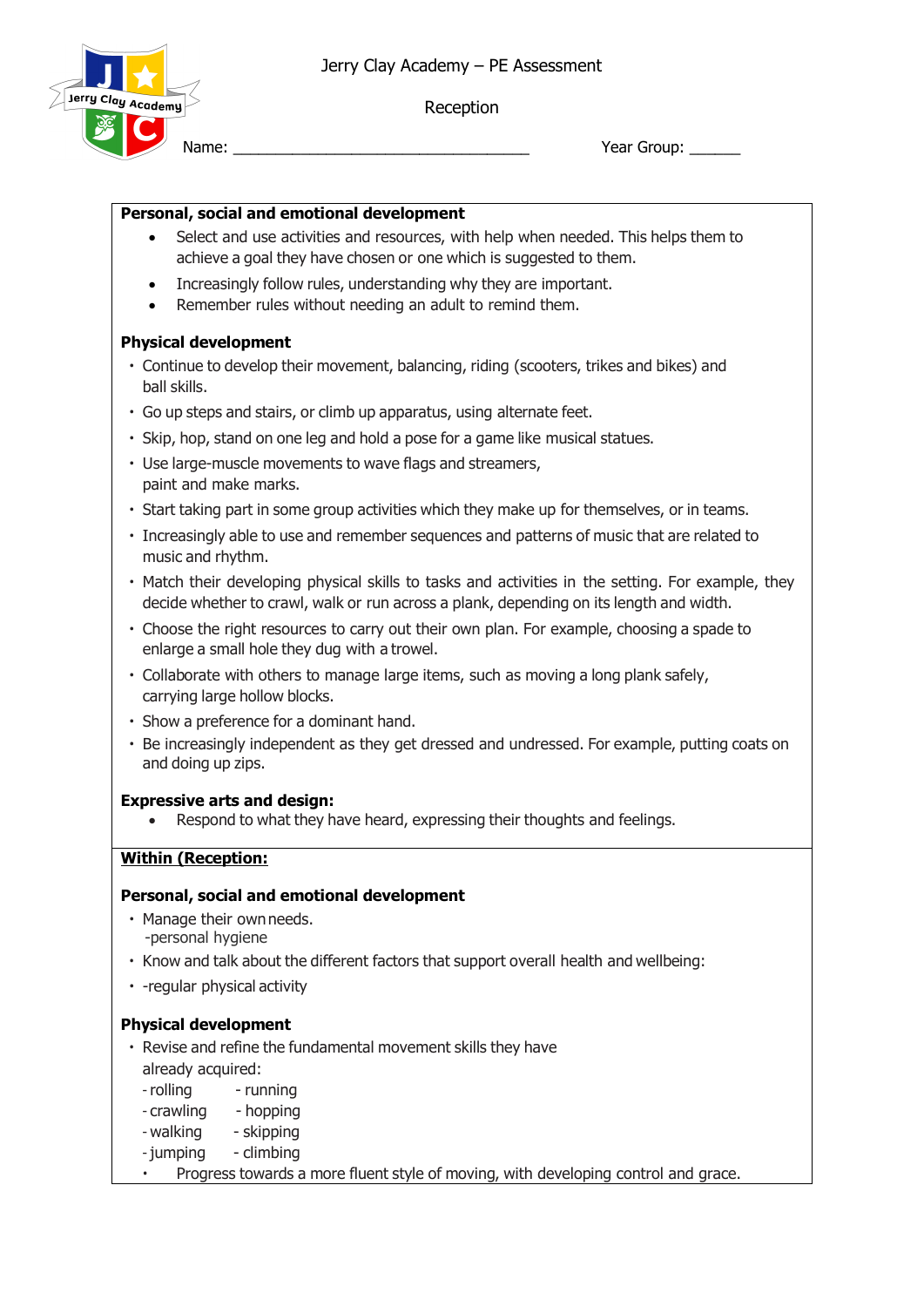Reception



Name: \_\_\_\_\_\_\_\_\_\_\_\_\_\_\_\_\_\_\_\_\_\_\_\_\_\_\_\_\_\_\_\_\_\_\_ Year Group: \_\_\_\_\_\_

### **Personal, social and emotional development**

- Select and use activities and resources, with help when needed. This helps them to achieve a goal they have chosen or one which is suggested to them.
- Increasingly follow rules, understanding why they are important.
- Remember rules without needing an adult to remind them.

### **Physical development**

- Continue to develop their movement, balancing, riding (scooters, trikes and bikes) and ball skills.
- Go up steps and stairs, or climb up apparatus, using alternate feet.
- Skip, hop, stand on one leg and hold a pose for a game like musical statues.
- Use large-muscle movements to wave flags and streamers, paint and make marks.
- Start taking part in some group activities which they make up for themselves, or in teams.
- Increasingly able to use and remember sequences and patterns of music that are related to music and rhythm.
- Match their developing physical skills to tasks and activities in the setting. For example, they decide whether to crawl, walk or run across a plank, depending on its length and width.
- Choose the right resources to carry out their own plan. For example, choosing a spade to enlarge a small hole they dug with a trowel.
- Collaborate with others to manage large items, such as moving a long plank safely, carrying large hollow blocks.
- Show a preference for a dominant hand.
- Be increasingly independent as they get dressed and undressed. For example, putting coats on and doing up zips.

#### **Expressive arts and design:**

• Respond to what they have heard, expressing their thoughts and feelings.

## **Within (Reception:**

#### **Personal, social and emotional development**

- Manage their own needs. -personal hygiene
- Know and talk about the different factors that support overall health and wellbeing:
- -regular physical activity

#### **Physical development**

- Revise and refine the fundamental movement skills they have already acquired:
	- rolling running
	- crawling hopping
- walking skipping
- jumping climbing
- Progress towards a more fluent style of moving, with developing control and grace.